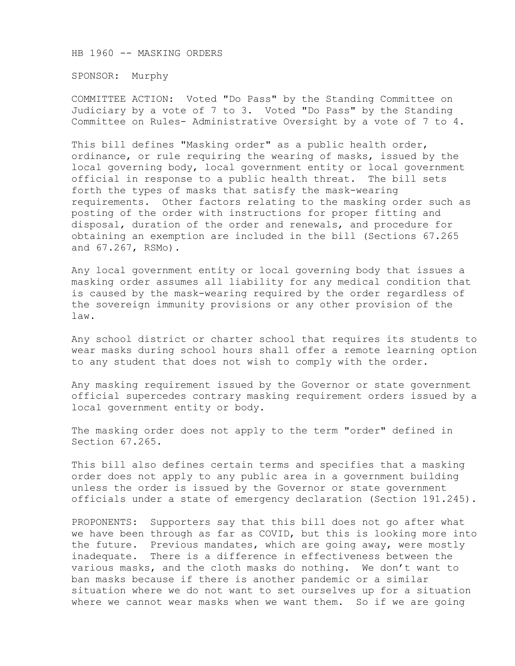HB 1960 -- MASKING ORDERS

SPONSOR: Murphy

COMMITTEE ACTION: Voted "Do Pass" by the Standing Committee on Judiciary by a vote of 7 to 3. Voted "Do Pass" by the Standing Committee on Rules- Administrative Oversight by a vote of 7 to 4.

This bill defines "Masking order" as a public health order, ordinance, or rule requiring the wearing of masks, issued by the local governing body, local government entity or local government official in response to a public health threat. The bill sets forth the types of masks that satisfy the mask-wearing requirements. Other factors relating to the masking order such as posting of the order with instructions for proper fitting and disposal, duration of the order and renewals, and procedure for obtaining an exemption are included in the bill (Sections 67.265 and 67.267, RSMo).

Any local government entity or local governing body that issues a masking order assumes all liability for any medical condition that is caused by the mask-wearing required by the order regardless of the sovereign immunity provisions or any other provision of the law.

Any school district or charter school that requires its students to wear masks during school hours shall offer a remote learning option to any student that does not wish to comply with the order.

Any masking requirement issued by the Governor or state government official supercedes contrary masking requirement orders issued by a local government entity or body.

The masking order does not apply to the term "order" defined in Section 67.265.

This bill also defines certain terms and specifies that a masking order does not apply to any public area in a government building unless the order is issued by the Governor or state government officials under a state of emergency declaration (Section 191.245).

PROPONENTS: Supporters say that this bill does not go after what we have been through as far as COVID, but this is looking more into the future. Previous mandates, which are going away, were mostly inadequate. There is a difference in effectiveness between the various masks, and the cloth masks do nothing. We don't want to ban masks because if there is another pandemic or a similar situation where we do not want to set ourselves up for a situation where we cannot wear masks when we want them. So if we are going